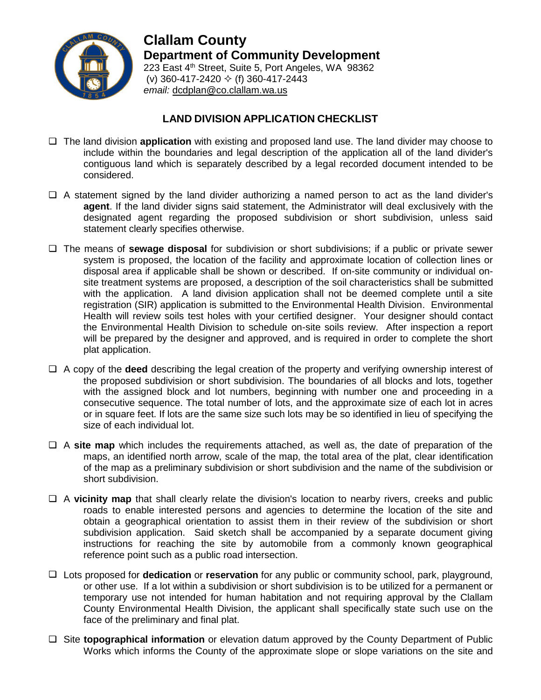

**Clallam County Department of Community Development** 223 East 4<sup>th</sup> Street, Suite 5, Port Angeles, WA 98362 (v) 360-417-2420  $\div$  (f) 360-417-2443 *email:* [dcdplan@co.clallam.wa.us](mailto:cmckeown@co.clallam.wa.us)

## **LAND DIVISION APPLICATION CHECKLIST**

- The land division **application** with existing and proposed land use. The land divider may choose to include within the boundaries and legal description of the application all of the land divider's contiguous land which is separately described by a legal recorded document intended to be considered.
- $\Box$  A statement signed by the land divider authorizing a named person to act as the land divider's **agent**. If the land divider signs said statement, the Administrator will deal exclusively with the designated agent regarding the proposed subdivision or short subdivision, unless said statement clearly specifies otherwise.
- The means of **sewage disposal** for subdivision or short subdivisions; if a public or private sewer system is proposed, the location of the facility and approximate location of collection lines or disposal area if applicable shall be shown or described. If on-site community or individual onsite treatment systems are proposed, a description of the soil characteristics shall be submitted with the application. A land division application shall not be deemed complete until a site registration (SIR) application is submitted to the Environmental Health Division. Environmental Health will review soils test holes with your certified designer. Your designer should contact the Environmental Health Division to schedule on-site soils review. After inspection a report will be prepared by the designer and approved, and is required in order to complete the short plat application.
- A copy of the **deed** describing the legal creation of the property and verifying ownership interest of the proposed subdivision or short subdivision. The boundaries of all blocks and lots, together with the assigned block and lot numbers, beginning with number one and proceeding in a consecutive sequence. The total number of lots, and the approximate size of each lot in acres or in square feet. If lots are the same size such lots may be so identified in lieu of specifying the size of each individual lot.
- $\Box$  A **site map** which includes the requirements attached, as well as, the date of preparation of the maps, an identified north arrow, scale of the map, the total area of the plat, clear identification of the map as a preliminary subdivision or short subdivision and the name of the subdivision or short subdivision.
- A **vicinity map** that shall clearly relate the division's location to nearby rivers, creeks and public roads to enable interested persons and agencies to determine the location of the site and obtain a geographical orientation to assist them in their review of the subdivision or short subdivision application. Said sketch shall be accompanied by a separate document giving instructions for reaching the site by automobile from a commonly known geographical reference point such as a public road intersection.
- Lots proposed for **dedication** or **reservation** for any public or community school, park, playground, or other use. If a lot within a subdivision or short subdivision is to be utilized for a permanent or temporary use not intended for human habitation and not requiring approval by the Clallam County Environmental Health Division, the applicant shall specifically state such use on the face of the preliminary and final plat.
- □ Site **topographical information** or elevation datum approved by the County Department of Public Works which informs the County of the approximate slope or slope variations on the site and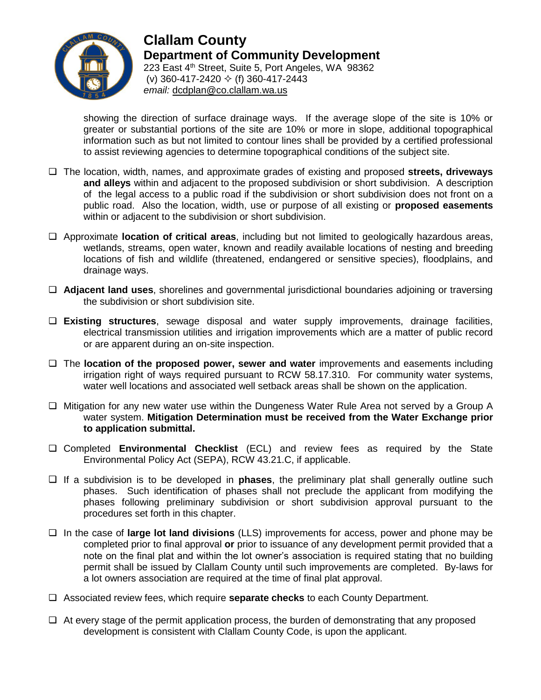

**Clallam County Department of Community Development** 223 East 4<sup>th</sup> Street, Suite 5, Port Angeles, WA 98362 (v) 360-417-2420  $\Diamond$  (f) 360-417-2443 *email:* [dcdplan@co.clallam.wa.us](mailto:cmckeown@co.clallam.wa.us)

showing the direction of surface drainage ways. If the average slope of the site is 10% or greater or substantial portions of the site are 10% or more in slope, additional topographical information such as but not limited to contour lines shall be provided by a certified professional to assist reviewing agencies to determine topographical conditions of the subject site.

- The location, width, names, and approximate grades of existing and proposed **streets, driveways and alleys** within and adjacent to the proposed subdivision or short subdivision. A description of the legal access to a public road if the subdivision or short subdivision does not front on a public road. Also the location, width, use or purpose of all existing or **proposed easements** within or adjacent to the subdivision or short subdivision.
- Approximate **location of critical areas**, including but not limited to geologically hazardous areas, wetlands, streams, open water, known and readily available locations of nesting and breeding locations of fish and wildlife (threatened, endangered or sensitive species), floodplains, and drainage ways.
- **Adjacent land uses**, shorelines and governmental jurisdictional boundaries adjoining or traversing the subdivision or short subdivision site.
- **Existing structures**, sewage disposal and water supply improvements, drainage facilities, electrical transmission utilities and irrigation improvements which are a matter of public record or are apparent during an on-site inspection.
- The **location of the proposed power, sewer and water** improvements and easements including irrigation right of ways required pursuant to RCW 58.17.310. For community water systems, water well locations and associated well setback areas shall be shown on the application.
- $\Box$  Mitigation for any new water use within the Dungeness Water Rule Area not served by a Group A water system. **Mitigation Determination must be received from the Water Exchange prior to application submittal.**
- Completed **Environmental Checklist** (ECL) and review fees as required by the State Environmental Policy Act (SEPA), RCW 43.21.C, if applicable.
- $\Box$  If a subdivision is to be developed in **phases**, the preliminary plat shall generally outline such phases. Such identification of phases shall not preclude the applicant from modifying the phases following preliminary subdivision or short subdivision approval pursuant to the procedures set forth in this chapter.
- In the case of **large lot land divisions** (LLS) improvements for access, power and phone may be completed prior to final approval **or** prior to issuance of any development permit provided that a note on the final plat and within the lot owner's association is required stating that no building permit shall be issued by Clallam County until such improvements are completed. By-laws for a lot owners association are required at the time of final plat approval.
- Associated review fees, which require **separate checks** to each County Department.
- $\Box$  At every stage of the permit application process, the burden of demonstrating that any proposed development is consistent with Clallam County Code, is upon the applicant.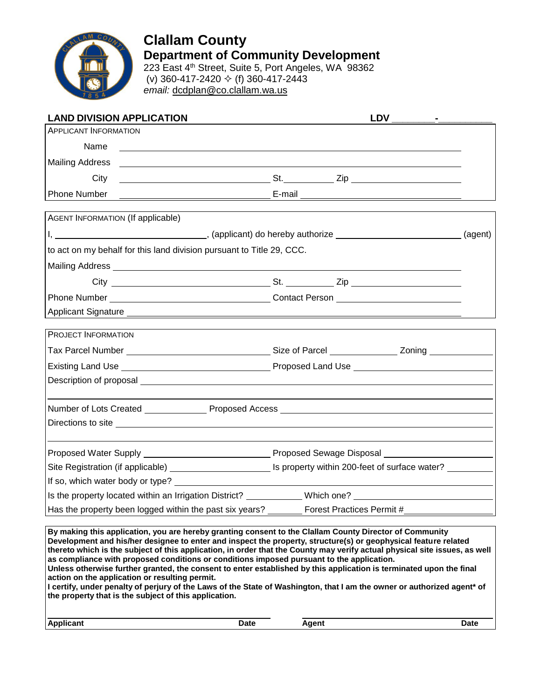

# **Clallam County Department of Community Development** 223 East 4<sup>th</sup> Street, Suite 5, Port Angeles, WA 98362

(v) 360-417-2420  $\div$  (f) 360-417-2443 *email:* [dcdplan@co.clallam.wa.us](mailto:cmckeown@co.clallam.wa.us)

| <b>LAND DIVISION APPLICATION</b>                                                                                                                                                                                                     |  |  |  |  |
|--------------------------------------------------------------------------------------------------------------------------------------------------------------------------------------------------------------------------------------|--|--|--|--|
| <b>APPLICANT INFORMATION</b>                                                                                                                                                                                                         |  |  |  |  |
| Name<br><u> 1989 - Johann John Stein, markin fizik eta idazleari (h. 1989).</u>                                                                                                                                                      |  |  |  |  |
|                                                                                                                                                                                                                                      |  |  |  |  |
| City                                                                                                                                                                                                                                 |  |  |  |  |
| Phone Number                                                                                                                                                                                                                         |  |  |  |  |
| AGENT INFORMATION (If applicable)                                                                                                                                                                                                    |  |  |  |  |
| I, 1. 2008 (agent) (applicant) do hereby authorize                                                                                                                                                                                   |  |  |  |  |
| to act on my behalf for this land division pursuant to Title 29, CCC.                                                                                                                                                                |  |  |  |  |
|                                                                                                                                                                                                                                      |  |  |  |  |
|                                                                                                                                                                                                                                      |  |  |  |  |
|                                                                                                                                                                                                                                      |  |  |  |  |
|                                                                                                                                                                                                                                      |  |  |  |  |
| PROJECT INFORMATION                                                                                                                                                                                                                  |  |  |  |  |
|                                                                                                                                                                                                                                      |  |  |  |  |
|                                                                                                                                                                                                                                      |  |  |  |  |
|                                                                                                                                                                                                                                      |  |  |  |  |
|                                                                                                                                                                                                                                      |  |  |  |  |
| Number of Lots Created _________________Proposed Access _________________________                                                                                                                                                    |  |  |  |  |
| Directions to site <u>example and the set of the set of the set of the set of the set of the set of the set of the set of the set of the set of the set of the set of the set of the set of the set of the set of the set of the</u> |  |  |  |  |
|                                                                                                                                                                                                                                      |  |  |  |  |
|                                                                                                                                                                                                                                      |  |  |  |  |
| If so, which water body or type?                                                                                                                                                                                                     |  |  |  |  |
| Is the property located within an Irrigation District? ____________Which one? ______________________                                                                                                                                 |  |  |  |  |
| Has the property been logged within the past six years? __________ Forest Practices Permit #________                                                                                                                                 |  |  |  |  |
|                                                                                                                                                                                                                                      |  |  |  |  |
| By making this application, you are hereby granting consent to the Clallam County Director of Community                                                                                                                              |  |  |  |  |

**Development and his/her designee to enter and inspect the property, structure(s) or geophysical feature related thereto which is the subject of this application, in order that the County may verify actual physical site issues, as well as compliance with proposed conditions or conditions imposed pursuant to the application. Unless otherwise further granted, the consent to enter established by this application is terminated upon the final** 

**action on the application or resulting permit. I certify, under penalty of perjury of the Laws of the State of Washington, that I am the owner or authorized agent\* of the property that is the subject of this application.**

| --<br>.<br>$\mathbf{v}$<br>ЛI<br>___ | Date | ----- | Puw |
|--------------------------------------|------|-------|-----|
|                                      |      |       |     |